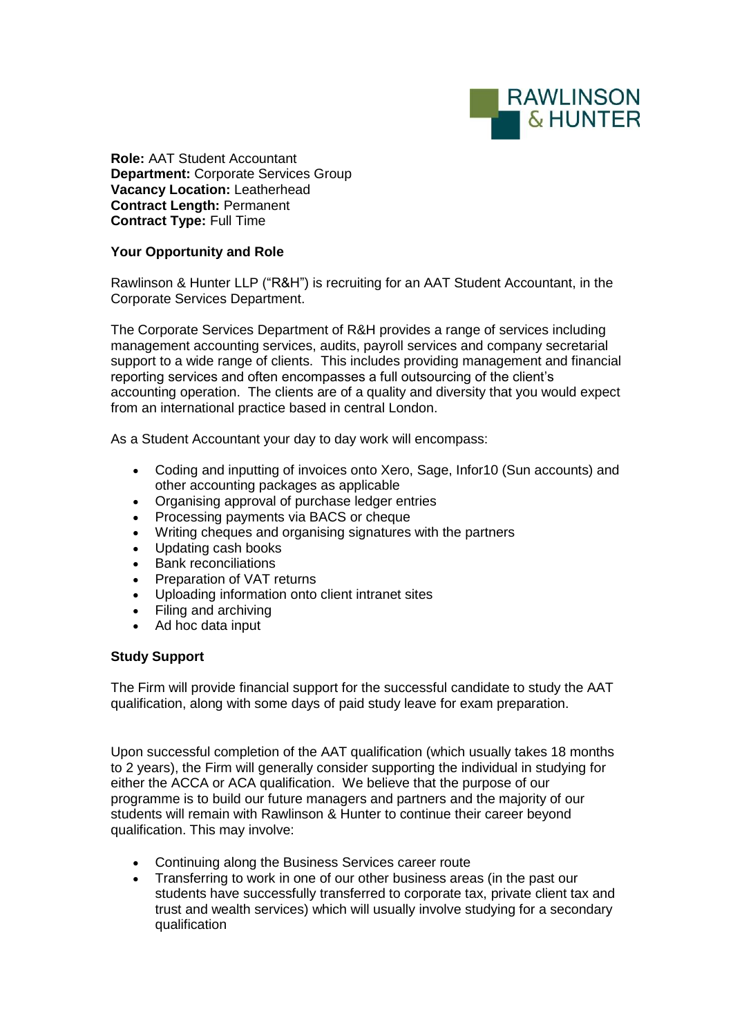

**Role:** AAT Student Accountant **Department:** Corporate Services Group **Vacancy Location:** Leatherhead **Contract Length:** Permanent **Contract Type:** Full Time

## **Your Opportunity and Role**

Rawlinson & Hunter LLP ("R&H") is recruiting for an AAT Student Accountant, in the Corporate Services Department.

The Corporate Services Department of R&H provides a range of services including management accounting services, audits, payroll services and company secretarial support to a wide range of clients. This includes providing management and financial reporting services and often encompasses a full outsourcing of the client's accounting operation. The clients are of a quality and diversity that you would expect from an international practice based in central London.

As a Student Accountant your day to day work will encompass:

- Coding and inputting of invoices onto Xero, Sage, Infor10 (Sun accounts) and other accounting packages as applicable
- Organising approval of purchase ledger entries<br>• Processing payments via BACS or cheque
- Processing payments via BACS or cheque
- Writing cheques and organising signatures with the partners
- Updating cash books
- Bank reconciliations
- Preparation of VAT returns
- Uploading information onto client intranet sites
- Filing and archiving
- Ad hoc data input

## **Study Support**

The Firm will provide financial support for the successful candidate to study the AAT qualification, along with some days of paid study leave for exam preparation.

Upon successful completion of the AAT qualification (which usually takes 18 months to 2 years), the Firm will generally consider supporting the individual in studying for either the ACCA or ACA qualification. We believe that the purpose of our programme is to build our future managers and partners and the majority of our students will remain with Rawlinson & Hunter to continue their career beyond qualification. This may involve:

- Continuing along the Business Services career route
- Transferring to work in one of our other business areas (in the past our students have successfully transferred to corporate tax, private client tax and trust and wealth services) which will usually involve studying for a secondary qualification